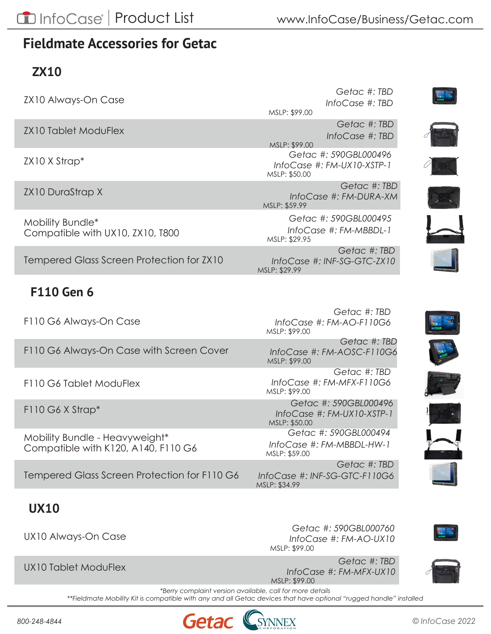## **Fieldmate Accessories for Getac**

## **ZX10**

ZX10 Always-On Case

ZX10 Tablet ModuFlex

ZX10 X Strap\*

ZX10 DuraStrap X

Mobility Bundle\* Compatible with UX10, ZX10, T800

Tempered Glass Screen Protection for ZX10

### **F110 Gen 6**

F110 G6 Always-On Case

F110 G6 Always-On Case with Screen Cover

F110 G6 Tablet ModuFlex

F110 G6 X Strap\*

Mobility Bundle - Heavyweight\* Compatible with K120, A140, F110 G6

Tempered Glass Screen Protection for F110 G6

### **UX10**

UX10 Always-On Case

UX10 Tablet ModuFlex

*Getac #: TBD InfoCase #: TBD* MSLP: \$99.00

> *Getac #: TBD InfoCase #: TBD*

*Getac #: 590GBL000496 [InfoCase #: FM-UX10-XSTP-1](https://www.infocase.com/Business/Getac/ZX10/zx10-elastic-x-strap)* MSLP: \$50.00 MSLP: \$99.00

*Getac #: TBD [InfoCase #: FM-DURA-XM](https://www.infocase.com/Business/Getac/ZX10/zx10-durastrap-x)* MSLP: \$59.99

*Getac #: 590GBL000495 [InfoCase #: FM-MBBDL-1](https://www.infocase.com/Business/Getac/ZX10/zx10-mobility-bundle)* MSLP: \$29.95

*Getac #: TBD [InfoCase #: INF-SG-GTC-ZX10](https://www.infocase.com/Business/Tempered%20Glass/tempered-glass-screen-protection-for-getac)* MSLP: \$29.99



*Getac #: TBD [InfoCase #: FM-AOSC-F110G6](https://www.infocase.com/Business/Getac/F110/f110-always-on-with-screen-cover)* MSLP: \$99.00

*Getac #: TBD [InfoCase #: FM-MFX-F110G6](https://www.infocase.com/Business/Getac/F110/f110-tablet-moduflex)* MSLP: \$99.00

*Getac #: 590GBL000496 [InfoCase #: FM-UX10-XSTP-1](https://www.infocase.com/Business/Getac/F110/f110-elastic-x-strap)* MSLP: \$50.00

*Getac #: 590GBL000494 [InfoCase #: FM-MBBDL-HW-1](https://www.infocase.com/Business/Getac/fieldmate-mobility-bundle-heavyweight)* MSLP: \$59.00

*Getac #: TBD [InfoCase #: INF-SG-GTC-F110G6](https://www.infocase.com/Business/Tempered%20Glass/tempered-glass-screen-protection-for-getac)* MSLP: \$34.99

*Getac #: 590GBL000760 [InfoCase #: FM-AO-UX10](https://www.infocase.com/Business/Getac/UX10/ux10-always-on)* MSLP: \$99.00



Pet

ja.

*Getac #: TBD [InfoCase #: FM-MFX-UX10](https://www.infocase.com/Business/Getac/UX10/ux10-tablet-moduflex)*



*\*\*Fieldmate Mobility Kit is compatible with any and all Getac devices that have optional "rugged handle" installed*

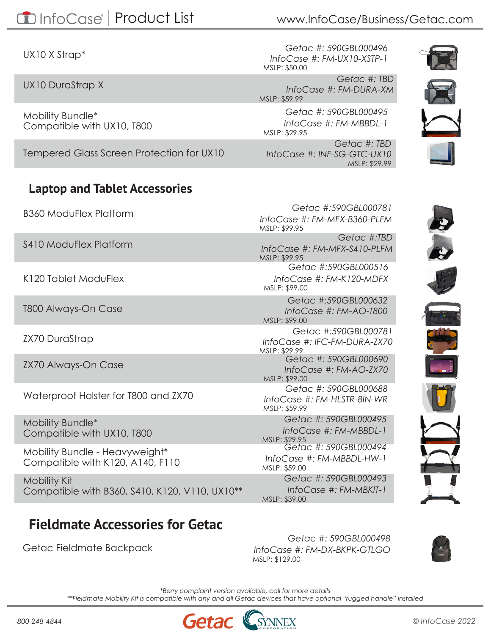UX10 X Strap\*

UX10 DuraStrap X

Mobility Bundle\* Compatible with UX10, T800

Tempered Glass Screen Protection for UX10

#### **Laptop and Tablet Accessories**

B360 ModuFlex Platform

S410 ModuFlex Platform

K120 Tablet ModuFlex

T800 Always-On Case

ZX70 DuraStrap

ZX70 Always-On Case

Waterproof Holster for T800 and ZX70

Mobility Bundle\* Compatible with UX10, T800

Mobility Bundle - Heavyweight\* Compatible with K120, A140, F110

Mobility Kit Compatible with B360, S410, K120, V110, UX10\*\*

## **Fieldmate Accessories for Getac**

Getac Fieldmate Backpack

*Getac #: 590GBL000496 [InfoCase #: FM-UX10-XSTP-1](https://www.infocase.com/Business/Getac/UX10/ux10-elastic-x-strap)* MSLP: \$50.00

*Getac #: TBD [InfoCase #: FM-DURA-XM](https://www.infocase.com/Business/Getac/UX10/ux10-durastrap-x)* MSLP: \$59.99

*Getac #: 590GBL000495 [InfoCase #: FM-MBBDL-1](https://www.infocase.com/Business/Getac/UX10/ux10-mobility-bundle)* MSLP: \$29.95

*Getac #: TBD [InfoCase #: INF-SG-GTC-UX10](https://www.infocase.com/Business/Tempered%20Glass/tempered-glass-screen-protection-for-getac)* MSLP: \$29.99

*[InfoCase #: FM-MFX-B360-PLFM](https://www.infocase.com/Business/Getac/B360/b360-moduflex-platform)*

*Getac #:590GBL000781*



*Getac #: 590GBL000495 [InfoCase #: FM-MBBDL-1](https://www.infocase.com/Business/Getac/fieldmate-mobility-bundle)* MSLP: \$29.95 *Getac #: 590GBL000494 [InfoCase #: FM-MBBDL-HW-1](https://www.infocase.com/Business/Getac/fieldmate-mobility-bundle-heavyweight)* MSLP: \$59.00 *[Getac #: 590GBL000493](https://www.infocase.com/Business/Getac/fieldmate-mobility-kit) InfoCase #: FM-MBKIT-1 Getac #:590GBL000516 [InfoCase #: FM-K120-MDFX](https://www.infocase.com/Business/Getac/K120/k120-moduflex)* MSLP: \$99.00 MSLP: \$99.95 *Getac #:TBD [InfoCase #: FM-MFX-S410-PLFM](https://www.infocase.com/Business/Getac/S410/s410-moduflex-platform)* MSLP: \$99.95 *Getac #:590GBL000632 [InfoCase #: FM-AO-T800](https://www.infocase.com/Business/Getac/T-800/t800-always-on-case)* MSLP: \$99.00 *Getac #:590GBL000781 [InfoCase #: IFC-FM-DURA-ZX70](https://www.infocase.com/Business/Getac/ZX70/durastrap-hand-strap-for-getac-zx70)*  MSLP: \$29.99 *Getac #: 590GBL000690 [InfoCase #: FM-AO-ZX70](https://www.infocase.com/Business/Getac/ZX70/zx70-always-on-case)* MSLP: \$99.00 *Getac #: 590GBL000688 [InfoCase #: FM-HLSTR-8IN-WR](https://www.infocase.com/Business/Getac/waterproof-holster)* MSLP: \$59.99

*Getac #: 590GBL000498*

*[InfoCase #: FM-DX-BKPK-GTLGO](https://www.infocase.com/Business/Getac/fieldmate-backpack)*



*\*Berry complaint version available, call for more details \*\*Fieldmate Mobility Kit is compatible with any and all Getac devices that have optional "rugged handle" installed*

MSLP: \$39.00

MSLP: \$129.00